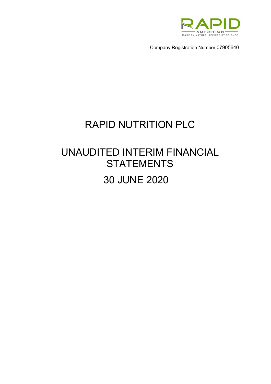

Company Registration Number 07905640

# RAPID NUTRITION PLC

# UNAUDITED INTERIM FINANCIAL **STATEMENTS** 30 JUNE 2020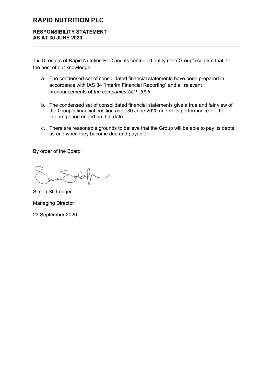# **RESPONSIBILITY STATEMENT AS AT 30 JUNE 2020**

The Directors of Rapid Nutrition PLC and its controlled entity ("the Group") confirm that, to the best of our knowledge

- a. The condensed set of consolidated financial statements have been prepared in accordance with IAS 34 "Interim Financial Reporting" and all relevant pronouncements of *the companies ACT 2006*
- b. The condensed set of consolidated financial statements give a true and fair view of the Group's financial position as at 30 June 2020 and of its performance for the interim period ended on that date.
- c. There are reasonable grounds to believe that the Group will be able to pay its debts as and when they become due and payable.

By order of the Board

Simon St. Ledger Managing Director 23 September 2020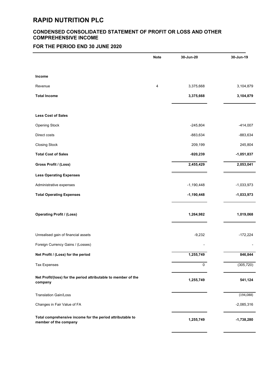## **CONDENSED CONSOLIDATED STATEMENT OF PROFIT OR LOSS AND OTHER COMPREHENSIVE INCOME**

# **FOR THE PERIOD END 30 JUNE 2020**

|                                                                                    | <b>Note</b> | 30-Jun-20    | 30-Jun-19    |
|------------------------------------------------------------------------------------|-------------|--------------|--------------|
| <b>Income</b>                                                                      |             |              |              |
| Revenue                                                                            | 4           | 3,375,668    | 3,104,879    |
| <b>Total Income</b>                                                                |             | 3,375,668    | 3,104,879    |
|                                                                                    |             |              |              |
| <b>Less Cost of Sales</b>                                                          |             |              |              |
| <b>Opening Stock</b>                                                               |             | $-245,804$   | $-414,007$   |
| Direct costs                                                                       |             | -883,634     | -883,634     |
| <b>Closing Stock</b>                                                               |             | 209,199      | 245,804      |
| <b>Total Cost of Sales</b>                                                         |             | $-920,239$   | $-1,051,837$ |
| Gross Profit / (Loss)                                                              |             | 2,455,429    | 2,053,041    |
| <b>Less Operating Expenses</b>                                                     |             |              |              |
| Administrative expenses                                                            |             | $-1,190,448$ | $-1,033,973$ |
| <b>Total Operating Expenses</b>                                                    |             | $-1,190,448$ | $-1,033,973$ |
| <b>Operating Profit / (Loss)</b>                                                   |             | 1,264,982    | 1,019,068    |
| Unrealised gain of financial assets                                                |             | $-9,232$     | $-172,224$   |
| Foreign Currency Gains / (Losses)                                                  |             |              |              |
| Net Profit / (Loss) for the period                                                 |             | 1,255,749    | 846,844      |
| <b>Tax Expenses</b>                                                                |             | $\mathbf 0$  | (305, 720)   |
| Net Profit/(loss) for the period attributable to member of the<br>company          |             | 1,255,749    | 541,124      |
| <b>Translation Gain/Loss</b>                                                       |             |              | (194, 088)   |
| Changes in Fair Value of FA                                                        |             |              | $-2,085,316$ |
| Total comprehensive income for the period attributable to<br>member of the company |             | 1,255,749    | $-1,738,280$ |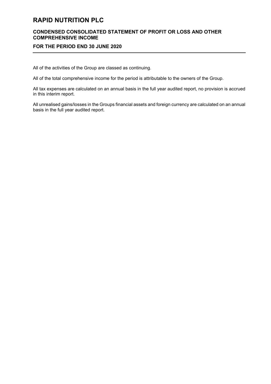#### **CONDENSED CONSOLIDATED STATEMENT OF PROFIT OR LOSS AND OTHER COMPREHENSIVE INCOME**

#### **FOR THE PERIOD END 30 JUNE 2020**

All of the activities of the Group are classed as continuing.

All of the total comprehensive income for the period is attributable to the owners of the Group.

All tax expenses are calculated on an annual basis in the full year audited report, no provision is accrued in this interim report.

All unrealised gains/losses in the Groups financial assets and foreign currency are calculated on an annual basis in the full year audited report.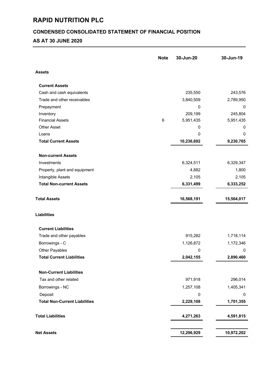# **CONDENSED CONSOLIDATED STATEMENT OF FINANCIAL POSITION**

# **AS AT 30 JUNE 2020**

|                                      | <b>Note</b> | 30-Jun-20  | 30-Jun-19  |
|--------------------------------------|-------------|------------|------------|
| <b>Assets</b>                        |             |            |            |
| <b>Current Assets</b>                |             |            |            |
| Cash and cash equivalents            |             | 235,550    | 243,576    |
| Trade and other receivables          |             | 3,840,509  | 2,789,950  |
| Prepayment                           |             | 0          | 0          |
| Inventory                            |             | 209,199    | 245,804    |
| <b>Financial Assets</b>              | $\,6\,$     | 5,951,435  | 5,951,435  |
| <b>Other Asset</b>                   |             | 0          | 0          |
| Loans                                |             | 0          | 0          |
| <b>Total Current Assets</b>          |             | 10,236,692 | 9,230,765  |
| <b>Non-current Assets</b>            |             |            |            |
| Investments                          |             | 6,324,511  | 6,329,347  |
| Property, plant and equipment        |             | 4,882      | 1,800      |
| Intangible Assets                    |             | 2,105      | 2,105      |
| <b>Total Non-current Assets</b>      |             | 6,331,499  | 6,333,252  |
| <b>Total Assets</b>                  |             | 16,568,191 | 15,564,017 |
| <b>Liabilities</b>                   |             |            |            |
| <b>Current Liabilities</b>           |             |            |            |
| Trade and other payables             |             | 915,282    | 1,718,114  |
| Borrowings - C                       |             | 1,126,872  | 1,172,346  |
| Other Payables                       |             | 0          | 0          |
| <b>Total Current Liabilities</b>     |             | 2,042,155  | 2,890,460  |
| <b>Non-Current Liabilities</b>       |             |            |            |
| Tax and other related                |             | 971,918    | 296,014    |
| Borrowings - NC                      |             | 1,257,108  | 1,405,341  |
| Deposit                              |             | 0          | 0          |
| <b>Total Non-Current Liabilities</b> |             | 2,229,108  | 1,701,355  |
| <b>Total Liabilities</b>             |             | 4,271,263  | 4,591,815  |
|                                      |             |            |            |
| <b>Net Assets</b>                    |             | 12,296,929 | 10,972,202 |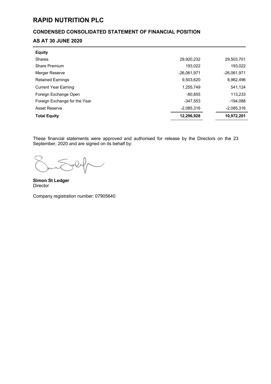# **CONDENSED CONSOLIDATED STATEMENT OF FINANCIAL POSITION**

# **AS AT 30 JUNE 2020**

| <b>Equity</b>                 |              |               |
|-------------------------------|--------------|---------------|
| Shares                        | 29,920,232   | 29,503,701    |
| <b>Share Premium</b>          | 193,022      | 193,022       |
| Merger Reserve                | -26.061.971  | $-26,061,971$ |
| <b>Retained Earnings</b>      | 9,503,620    | 8,962,496     |
| <b>Current Year Earning</b>   | 1,255,749    | 541,124       |
| Foreign Exchange Open         | $-80.855$    | 113,233       |
| Foreign Exchange for the Year | $-347,553$   | $-194,088$    |
| <b>Asset Reserve</b>          | $-2,085,316$ | $-2,085,316$  |
| <b>Total Equity</b>           | 12,296,928   | 10,972,201    |

These financial statements were approved and authorised for release by the Directors on the 23 September, 2020 and are signed on its behalf by:

 $\overline{\phantom{a}}$ 

**Simon St Ledger** Director

Company registration number: 07905640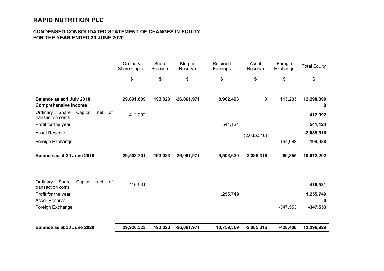## **CONDENSED CONSOLIDATED STATEMENT OF CHANGES IN EQUITY FOR THE YEAR ENDED 30 JUNE 2020**

|                                                              | Ordinary<br><b>Share Capital</b> | Share<br>Premium | Merger<br>Reserve | Retained<br>Earnings | Asset<br>Reserve | Foregin<br>Exchange | <b>Total Equity</b> |
|--------------------------------------------------------------|----------------------------------|------------------|-------------------|----------------------|------------------|---------------------|---------------------|
|                                                              | \$                               | \$               | \$                | \$                   | \$               | \$                  | \$                  |
|                                                              |                                  |                  |                   |                      |                  |                     |                     |
| Balance as at 1 July 2018<br><b>Comprehensive Income</b>     | 29,091,609                       | 193,023          | $-26,061,971$     | 8,962,496            | $\mathbf 0$      | 113,233             | 12,298,390<br>0     |
| Ordinary Share<br>Capital,<br>net of<br>transaction costs    | 412,092                          |                  |                   |                      |                  |                     | 412,092             |
| Profit for the year                                          |                                  |                  |                   | 541,124              |                  |                     | 541,124             |
| <b>Asset Reserve</b>                                         |                                  |                  |                   |                      | (2,085,316)      |                     | $-2,085,316$        |
| Foreign Exchange                                             |                                  |                  |                   |                      |                  | $-194,088$          | $-194,088$          |
| Balance as at 30 June 2019                                   | 29,503,701                       | 193,023          | $-26,061,971$     | 9,503,620            | $-2,085,316$     | $-80,855$           | 10,972,202          |
|                                                              |                                  |                  |                   |                      |                  |                     |                     |
| Share<br>Capital,<br>Ordinary<br>net of<br>transaction costs | 416,531                          |                  |                   |                      |                  |                     | 416,531             |
| Profit for the year                                          |                                  |                  |                   | 1,255,749            |                  |                     | 1,255,749           |
| <b>Asser Reserve</b>                                         |                                  |                  |                   |                      |                  | $-347,553$          | $\bf{0}$            |
| Foreign Exchange                                             |                                  |                  |                   |                      |                  |                     | $-347,553$          |
| Balance as at 30 June 2020                                   | 29,920,323                       | 193,023          | $-26,061,971$     | 10,759,369           | $-2,085,316$     | $-428,408$          | 12,296,929          |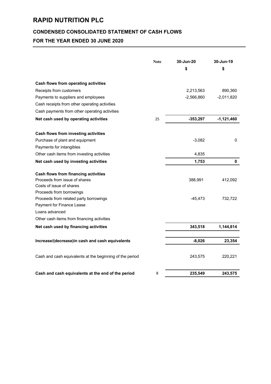## **CONDENSED CONSOLIDATED STATEMENT OF CASH FLOWS**

# **FOR THE YEAR ENDED 30 JUNE 2020**

|                                                          | <b>Note</b> | 30-Jun-20<br>\$ | 30-Jun-19<br>\$ |
|----------------------------------------------------------|-------------|-----------------|-----------------|
| Cash flows from operating activities                     |             |                 |                 |
| Receipts from customers                                  |             | 2,213,563       | 890,360         |
| Payments to suppliers and employees                      |             | $-2,566,860$    | $-2,011,820$    |
| Cash receipts from other operating activities            |             |                 |                 |
| Cash payments from other operating activities            |             |                 |                 |
| Net cash used by operating activities                    | 25          | $-353,297$      | $-1,121,460$    |
| Cash flows from investing activities                     |             |                 |                 |
| Purchase of plant and equipment                          |             | $-3,082$        | 0               |
| Payments for intangibles                                 |             |                 |                 |
| Other cash items from investing activities               |             | 4,835           |                 |
| Net cash used by investing activities                    |             | 1,753           | $\mathbf 0$     |
| <b>Cash flows from financing activities</b>              |             |                 |                 |
| Proceeds from issue of shares                            |             | 388,991         | 412,092         |
| Costs of issue of shares                                 |             |                 |                 |
| Proceeds from borrowings                                 |             |                 |                 |
| Proceeds from related party borrowings                   |             | $-45,473$       | 732,722         |
| Payment for Finance Lease                                |             |                 |                 |
| Loans advanced                                           |             |                 |                 |
| Other cash items from financing activities               |             |                 |                 |
| Net cash used by financing activities                    |             | 343,518         | 1,144,814       |
| Increase/(decrease)in cash and cash equivalents          |             | $-8,026$        | 23,354          |
| Cash and cash equivalents at the beginning of the period |             | 243,575         | 220,221         |
| Cash and cash equivalents at the end of the period       | 8           | 235,549         | 243,575         |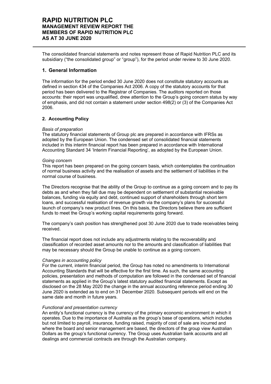The consolidated financial statements and notes represent those of Rapid Nutrition PLC and its subsidiary ("the consolidated group" or "group"), for the period under review to 30 June 2020.

#### **1. General Information**

The information for the period ended 30 June 2020 does not constitute statutory accounts as defined in section 434 of the Companies Act 2006. A copy of the statutory accounts for that period has been delivered to the Registrar of Companies. The auditors reported on those accounts: their report was unqualified, drew attention to the Group's going concern status by way of emphasis, and did not contain a statement under section 498(2) or (3) of the Companies Act 2006.

#### **2. Accounting Policy**

#### *Basis of preparation*

The statutory financial statements of Group plc are prepared in accordance with IFRSs as adopted by the European Union. The condensed set of consolidated financial statements included in this interim financial report has been prepared in accordance with International Accounting Standard 34 'Interim Financial Reporting', as adopted by the European Union.

#### *Going concern*

This report has been prepared on the going concern basis, which contemplates the continuation of normal business activity and the realisation of assets and the settlement of liabilities in the normal course of business.

The Directors recognise that the ability of the Group to continue as a going concern and to pay its debts as and when they fall due may be dependent on settlement of substantial receivable balances, funding via equity and debt, continued support of shareholders through short term loans, and successful realisation of revenue growth via the company's plans for successful launch of company's new product lines. On this basis, the Directors believe there are sufficient funds to meet the Group's working capital requirements going forward.

The company's cash position has strengthened post 30 June 2020 due to trade receivables being received.

The financial report does not include any adjustments relating to the recoverability and classification of recorded asset amounts nor to the amounts and classification of liabilities that may be necessary should the Group be unable to continue as a going concern.

#### *Changes in accounting policy*

For the current, interim financial period, the Group has noted no amendments to International Accounting Standards that will be effective for the first time. As such, the same accounting policies, presentation and methods of computation are followed in the condensed set of financial statements as applied in the Group's latest statutory audited financial statements. Except as disclosed on the 28 May 2020 the change in the annual accounting reference period ending 30 June 2020 is extended as to end on 31 December 2020. Subsequent periods will end on the same date and month in future years.

#### *Functional and presentation currency*

An entity's functional currency is the currency of the primary economic environment in which it operates. Due to the importance of Australia as the group's base of operations, which includes but not limited to payroll, insurance, funding raised, majority of cost of sale are incurred and where the board and senior management are based, the directors of the group view Australian Dollars as the group's functional currency. The Group uses Australian bank accounts and all dealings and commercial contracts are through the Australian company.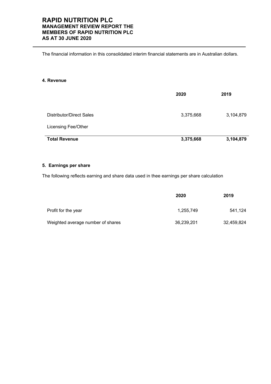The financial information in this consolidated interim financial statements are in Australian dollars.

#### **4. Revenue**

|                                 | 2020      | 2019      |
|---------------------------------|-----------|-----------|
| <b>Distributor/Direct Sales</b> | 3,375,668 | 3,104,879 |
| Licensing Fee/Other             |           |           |
| <b>Total Revenue</b>            | 3,375,668 | 3,104,879 |

#### **5. Earnings per share**

The following reflects earning and share data used in thee earnings per share calculation

|                                   | 2020       | 2019       |
|-----------------------------------|------------|------------|
| Profit for the year               | 1.255.749  | 541.124    |
| Weighted average number of shares | 36,239,201 | 32,459,824 |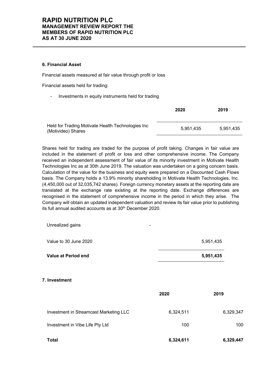#### **6. Financial Asset**

Financial assets measured at fair value through profit or loss

Financial assets held for trading:

Investments in equity instruments held for trading

|                                                                         | 2020      | 2019      |
|-------------------------------------------------------------------------|-----------|-----------|
| Held for Trading Motivate Health Technologies Inc<br>(Motivideo) Shares | 5.951.435 | 5.951.435 |

Shares held for trading are traded for the purpose of profit taking. Changes in fair value are included in the statement of profit or loss and other comprehensive income. The Company received an independent assessment of fair value of its minority investment in Motivate Health Technologies Inc as at 30th June 2019. The valuation was undertaken on a going concern basis. Calculation of the value for the business and equity were prepared on a Discounted Cash Flows basis. The Company holds a 13.9% minority shareholding in Motivate Health Technologies, Inc. (4,450,000 out of 32,035,742 shares). Foreign currency monetary assets at the reporting date are translated at the exchange rate existing at the reporting date. Exchange differences are recognised in the statement of comprehensive income in the period in which they arise. The Company will obtain an updated independent valuation and review its fair value prior to publishing its full annual audited accounts as at 30<sup>th</sup> December 2020.

Unrealized gains

| Value at Period end   | 5.951.435 |
|-----------------------|-----------|
| Value to 30 June 2020 | 5.951.435 |

**7. Investment**

|                                        | 2020      | 2019      |
|----------------------------------------|-----------|-----------|
| Investment in Streamcast Marketing LLC | 6,324,511 | 6,329,347 |
| Investment in Vibe Life Pty Ltd        | 100       | 100       |
| <b>Total</b>                           | 6,324,611 | 6,329,447 |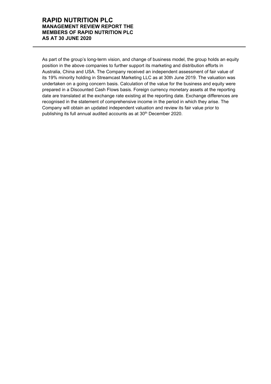As part of the group's long-term vision, and change of business model, the group holds an equity position in the above companies to further support its marketing and distribution efforts in Australia, China and USA. The Company received an independent assessment of fair value of its 19% minority holding in Streamcast Marketing LLC as at 30th June 2019. The valuation was undertaken on a going concern basis. Calculation of the value for the business and equity were prepared in a Discounted Cash Flows basis. Foreign currency monetary assets at the reporting date are translated at the exchange rate existing at the reporting date. Exchange differences are recognised in the statement of comprehensive income in the period in which they arise. The Company will obtain an updated independent valuation and review its fair value prior to publishing its full annual audited accounts as at 30<sup>th</sup> December 2020.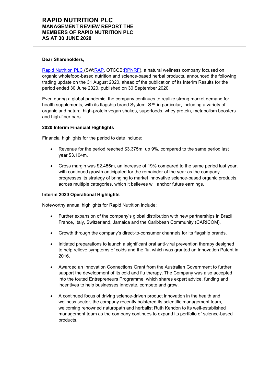#### **Dear Shareholders,**

Rapid Nutrition PLC (SW:RAP, OTCQB:RPNRF), a natural wellness company focused on organic wholefood-based nutrition and science-based herbal products, announced the following trading update on the 31 August 2020, ahead of the publication of its Interim Results for the period ended 30 June 2020, published on 30 September 2020.

Even during a global pandemic, the company continues to realize strong market demand for health supplements, with its flagship brand SystemLS™ in particular, including a variety of organic and natural high-protein vegan shakes, superfoods, whey protein, metabolism boosters and high-fiber bars.

#### **2020 Interim Financial Highlights**

Financial highlights for the period to date include:

- Revenue for the period reached \$3.375m, up 9%, compared to the same period last year \$3.104m.
- Gross margin was \$2.455m, an increase of 19% compared to the same period last year, with continued growth anticipated for the remainder of the year as the company progresses its strategy of bringing to market innovative science-based organic products, across multiple categories, which it believes will anchor future earnings.

#### **Interim 2020 Operational Highlights**

Noteworthy annual highlights for Rapid Nutrition include:

- Further expansion of the company's global distribution with new partnerships in Brazil, France, Italy, Switzerland, Jamaica and the Caribbean Community (CARICOM).
- Growth through the company's direct-to-consumer channels for its flagship brands.
- Initiated preparations to launch a significant oral anti-viral prevention therapy designed to help relieve symptoms of colds and the flu, which was granted an Innovation Patent in 2016.
- Awarded an Innovation Connections Grant from the Australian Government to further support the development of its cold and flu therapy. The Company was also accepted into the touted Entrepreneurs Programme, which shares expert advice, funding and incentives to help businesses innovate, compete and grow.
- A continued focus of driving science-driven product innovation in the health and wellness sector, the company recently bolstered its scientific management team, welcoming renowned naturopath and herbalist Ruth Kendon to its well-established management team as the company continues to expand its portfolio of science-based products.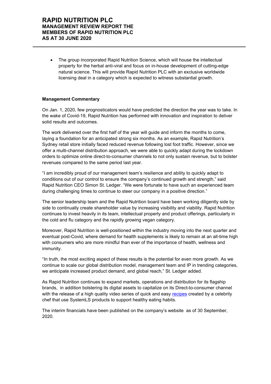• The group incorporated Rapid Nutrition Science, which will house the intellectual property for the herbal anti-viral and focus on in-house development of cutting-edge natural science. This will provide Rapid Nutrition PLC with an exclusive worldwide licensing deal in a category which is expected to witness substantial growth.

#### **Management Commentary**

On Jan. 1, 2020, few prognosticators would have predicted the direction the year was to take. In the wake of Covid-19, Rapid Nutrition has performed with innovation and inspiration to deliver solid results and outcomes.

The work delivered over the first half of the year will guide and inform the months to come, laying a foundation for an anticipated strong six months. As an example, Rapid Nutrition's Sydney retail store initially faced reduced revenue following lost foot traffic. However, since we offer a multi-channel distribution approach, we were able to quickly adapt during the lockdown orders to optimize online direct-to-consumer channels to not only sustain revenue, but to bolster revenues compared to the same period last year.

"I am incredibly proud of our management team's resilience and ability to quickly adapt to conditions out of our control to ensure the company's continued growth and strength," said Rapid Nutrition CEO Simon St. Ledger. "We were fortunate to have such an experienced team during challenging times to continue to steer our company in a positive direction."

The senior leadership team and the Rapid Nutrition board have been working diligently side by side to continually create shareholder value by increasing visibility and viability. Rapid Nutrition continues to invest heavily in its team, intellectual property and product offerings, particularly in the cold and flu category and the rapidly growing vegan category.

Moreover, Rapid Nutrition is well-positioned within the industry moving into the next quarter and eventual post-Covid, where demand for health supplements is likely to remain at an all-time high with consumers who are more mindful than ever of the importance of health, wellness and immunity.

"In truth, the most exciting aspect of these results is the potential for even more growth. As we continue to scale our global distribution model, management team and IP in trending categories, we anticipate increased product demand, and global reach," St. Ledger added.

As Rapid Nutrition continues to expand markets, operations and distribution for its flagship brands, in addition bolstering its digital assets to capitalize on its Direct-to-consumer channel with the release of a high quality video series of quick and easy recipes created by a celebrity chef that use SystemLS products to support healthy eating habits.

The interim financials have been published on the company's website as of 30 September, 2020.